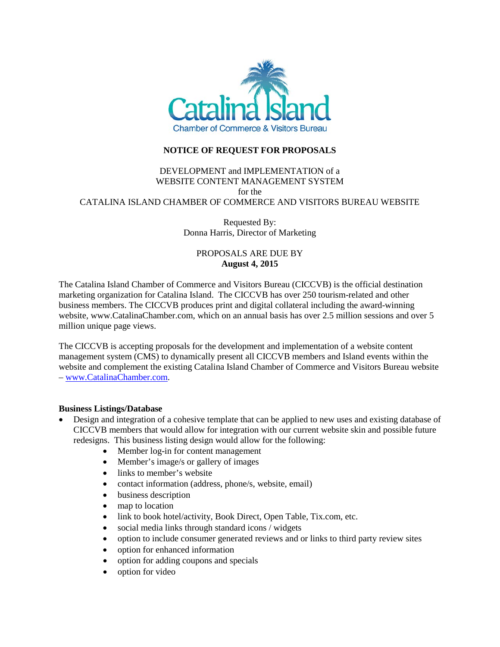

# **NOTICE OF REQUEST FOR PROPOSALS**

## DEVELOPMENT and IMPLEMENTATION of a WEBSITE CONTENT MANAGEMENT SYSTEM for the CATALINA ISLAND CHAMBER OF COMMERCE AND VISITORS BUREAU WEBSITE

Requested By: Donna Harris, Director of Marketing

# PROPOSALS ARE DUE BY **August 4, 2015**

The Catalina Island Chamber of Commerce and Visitors Bureau (CICCVB) is the official destination marketing organization for Catalina Island. The CICCVB has over 250 tourism-related and other business members. The CICCVB produces print and digital collateral including the award-winning website, www.CatalinaChamber.com, which on an annual basis has over 2.5 million sessions and over 5 million unique page views.

The CICCVB is accepting proposals for the development and implementation of a website content management system (CMS) to dynamically present all CICCVB members and Island events within the website and complement the existing Catalina Island Chamber of Commerce and Visitors Bureau website – [www.CatalinaChamber.com.](http://www.catalinachamber.com/)

### **Business Listings/Database**

- Design and integration of a cohesive template that can be applied to new uses and existing database of CICCVB members that would allow for integration with our current website skin and possible future redesigns. This business listing design would allow for the following:
	- Member log-in for content management
	- Member's image/s or gallery of images
	- links to member's website
	- contact information (address, phone/s, website, email)
	- business description
	- map to location
	- link to book hotel/activity, Book Direct, Open Table, Tix.com, etc.
	- social media links through standard icons / widgets
	- option to include consumer generated reviews and or links to third party review sites
	- option for enhanced information
	- option for adding coupons and specials
	- option for video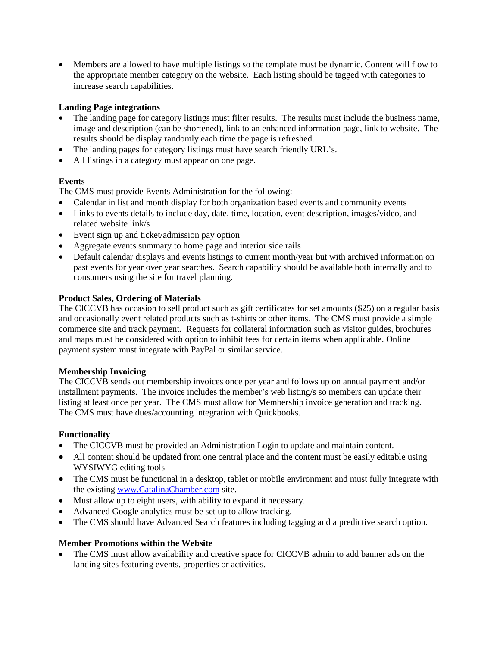• Members are allowed to have multiple listings so the template must be dynamic. Content will flow to the appropriate member category on the website. Each listing should be tagged with categories to increase search capabilities.

## **Landing Page integrations**

- The landing page for category listings must filter results. The results must include the business name, image and description (can be shortened), link to an enhanced information page, link to website. The results should be display randomly each time the page is refreshed.
- The landing pages for category listings must have search friendly URL's.
- All listings in a category must appear on one page.

# **Events**

The CMS must provide Events Administration for the following:

- Calendar in list and month display for both organization based events and community events
- Links to events details to include day, date, time, location, event description, images/video, and related website link/s
- Event sign up and ticket/admission pay option
- Aggregate events summary to home page and interior side rails
- Default calendar displays and events listings to current month/year but with archived information on past events for year over year searches. Search capability should be available both internally and to consumers using the site for travel planning.

### **Product Sales, Ordering of Materials**

The CICCVB has occasion to sell product such as gift certificates for set amounts (\$25) on a regular basis and occasionally event related products such as t-shirts or other items. The CMS must provide a simple commerce site and track payment. Requests for collateral information such as visitor guides, brochures and maps must be considered with option to inhibit fees for certain items when applicable. Online payment system must integrate with PayPal or similar service.

### **Membership Invoicing**

The CICCVB sends out membership invoices once per year and follows up on annual payment and/or installment payments. The invoice includes the member's web listing/s so members can update their listing at least once per year. The CMS must allow for Membership invoice generation and tracking. The CMS must have dues/accounting integration with Quickbooks.

### **Functionality**

- The CICCVB must be provided an Administration Login to update and maintain content.
- All content should be updated from one central place and the content must be easily editable using [WYSIWYG](https://en.wikipedia.org/wiki/WYSIWYG) editing tools
- The CMS must be functional in a desktop, tablet or mobile environment and must fully integrate with the existing [www.CatalinaChamber.com](http://www.catalinachamber.com/) site.
- Must allow up to eight users, with ability to expand it necessary.
- Advanced Google analytics must be set up to allow tracking.
- The CMS should have Advanced Search features including tagging and a predictive search option.

### **Member Promotions within the Website**

• The CMS must allow availability and creative space for CICCVB admin to add banner ads on the landing sites featuring events, properties or activities.